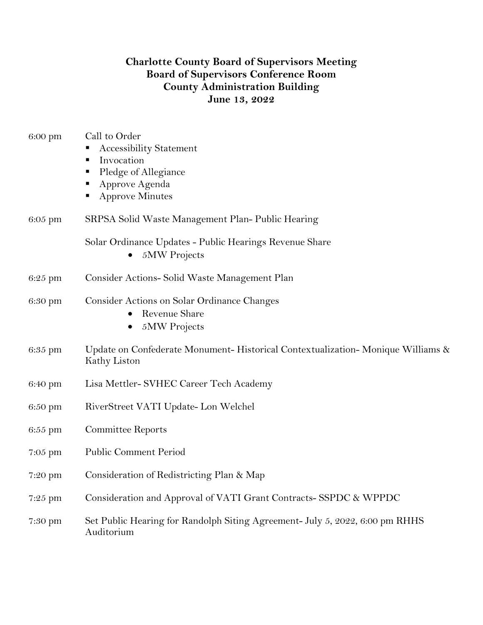## **Charlotte County Board of Supervisors Meeting Board of Supervisors Conference Room County Administration Building June 13, 2022**

| 6:00 pm   | Call to Order<br><b>Accessibility Statement</b><br>Invocation<br>Е<br>Pledge of Allegiance<br>Approve Agenda<br><b>Approve Minutes</b><br>٠ |
|-----------|---------------------------------------------------------------------------------------------------------------------------------------------|
| 6:05 pm   | SRPSA Solid Waste Management Plan-Public Hearing                                                                                            |
|           | Solar Ordinance Updates - Public Hearings Revenue Share<br>5MW Projects<br>$\bullet$                                                        |
| 6:25 pm   | Consider Actions- Solid Waste Management Plan                                                                                               |
| 6:30 pm   | Consider Actions on Solar Ordinance Changes<br><b>Revenue Share</b><br>5MW Projects<br>$\bullet$                                            |
| 6:35 pm   | Update on Confederate Monument-Historical Contextualization-Monique Williams &<br>Kathy Liston                                              |
| 6:40 pm   | Lisa Mettler- SVHEC Career Tech Academy                                                                                                     |
| 6:50 pm   | RiverStreet VATI Update- Lon Welchel                                                                                                        |
| 6:55 pm   | <b>Committee Reports</b>                                                                                                                    |
| $7:05$ pm | <b>Public Comment Period</b>                                                                                                                |
| 7:20 pm   | Consideration of Redistricting Plan & Map                                                                                                   |
| $7:25$ pm | Consideration and Approval of VATI Grant Contracts-SSPDC & WPPDC                                                                            |
| 7:30 pm   | Set Public Hearing for Randolph Siting Agreement- July 5, 2022, 6:00 pm RHHS<br>Auditorium                                                  |